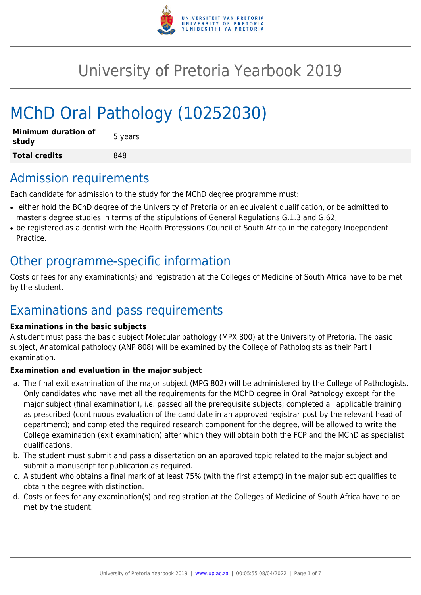

# University of Pretoria Yearbook 2019

# MChD Oral Pathology (10252030)

| <b>Minimum duration of</b><br>study | 5 years |
|-------------------------------------|---------|
| <b>Total credits</b>                | 848     |

### Admission requirements

Each candidate for admission to the study for the MChD degree programme must:

- either hold the BChD degree of the University of Pretoria or an equivalent qualification, or be admitted to master's degree studies in terms of the stipulations of General Regulations G.1.3 and G.62;
- be registered as a dentist with the Health Professions Council of South Africa in the category Independent Practice.

# Other programme-specific information

Costs or fees for any examination(s) and registration at the Colleges of Medicine of South Africa have to be met by the student.

# Examinations and pass requirements

#### **Examinations in the basic subjects**

A student must pass the basic subject Molecular pathology (MPX 800) at the University of Pretoria. The basic subject, Anatomical pathology (ANP 808) will be examined by the College of Pathologists as their Part I examination.

#### **Examination and evaluation in the major subject**

- a. The final exit examination of the major subject (MPG 802) will be administered by the College of Pathologists. Only candidates who have met all the requirements for the MChD degree in Oral Pathology except for the major subject (final examination), i.e. passed all the prerequisite subjects; completed all applicable training as prescribed (continuous evaluation of the candidate in an approved registrar post by the relevant head of department); and completed the required research component for the degree, will be allowed to write the College examination (exit examination) after which they will obtain both the FCP and the MChD as specialist qualifications.
- b. The student must submit and pass a dissertation on an approved topic related to the major subject and submit a manuscript for publication as required.
- c. A student who obtains a final mark of at least 75% (with the first attempt) in the major subject qualifies to obtain the degree with distinction.
- d. Costs or fees for any examination(s) and registration at the Colleges of Medicine of South Africa have to be met by the student.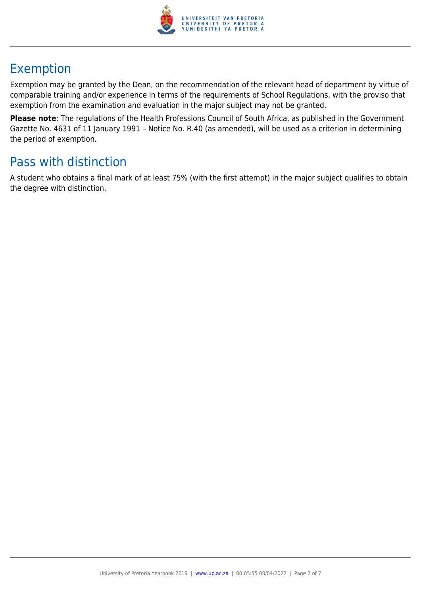

# Exemption

Exemption may be granted by the Dean, on the recommendation of the relevant head of department by virtue of comparable training and/or experience in terms of the requirements of School Regulations, with the proviso that exemption from the examination and evaluation in the major subject may not be granted.

**Please note**: The regulations of the Health Professions Council of South Africa, as published in the Government Gazette No. 4631 of 11 January 1991 – Notice No. R.40 (as amended), will be used as a criterion in determining the period of exemption.

# Pass with distinction

A student who obtains a final mark of at least 75% (with the first attempt) in the major subject qualifies to obtain the degree with distinction.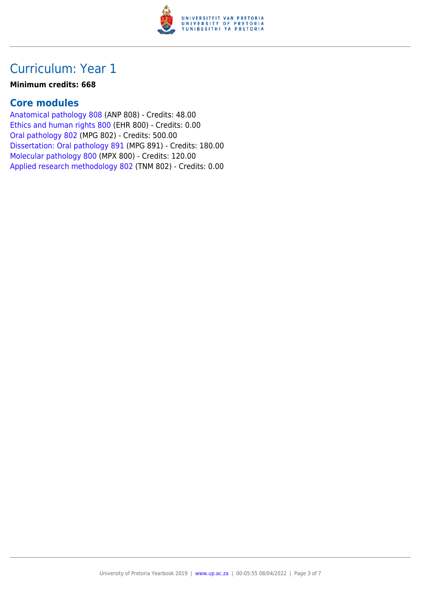

#### **Minimum credits: 668**

#### **Core modules**

[Anatomical pathology 808](https://www.up.ac.za/faculty-of-education/yearbooks/2019/modules/view/ANP 808) (ANP 808) - Credits: 48.00 [Ethics and human rights 800](https://www.up.ac.za/faculty-of-education/yearbooks/2019/modules/view/EHR 800) (EHR 800) - Credits: 0.00 [Oral pathology 802](https://www.up.ac.za/faculty-of-education/yearbooks/2019/modules/view/MPG 802) (MPG 802) - Credits: 500.00 [Dissertation: Oral pathology 891](https://www.up.ac.za/faculty-of-education/yearbooks/2019/modules/view/MPG 891) (MPG 891) - Credits: 180.00 [Molecular pathology 800](https://www.up.ac.za/faculty-of-education/yearbooks/2019/modules/view/MPX 800) (MPX 800) - Credits: 120.00 [Applied research methodology 802](https://www.up.ac.za/faculty-of-education/yearbooks/2019/modules/view/TNM 802) (TNM 802) - Credits: 0.00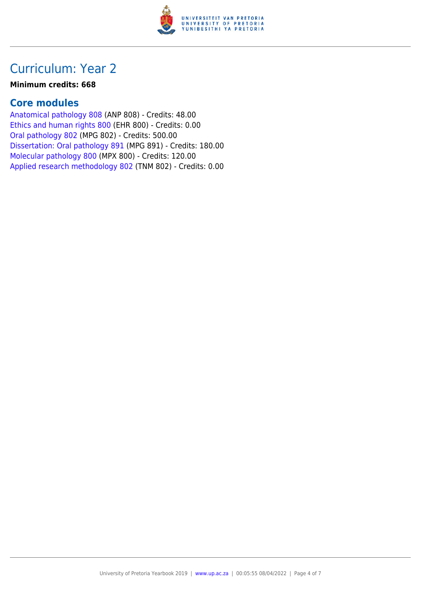

#### **Minimum credits: 668**

#### **Core modules**

[Anatomical pathology 808](https://www.up.ac.za/faculty-of-education/yearbooks/2019/modules/view/ANP 808) (ANP 808) - Credits: 48.00 [Ethics and human rights 800](https://www.up.ac.za/faculty-of-education/yearbooks/2019/modules/view/EHR 800) (EHR 800) - Credits: 0.00 [Oral pathology 802](https://www.up.ac.za/faculty-of-education/yearbooks/2019/modules/view/MPG 802) (MPG 802) - Credits: 500.00 [Dissertation: Oral pathology 891](https://www.up.ac.za/faculty-of-education/yearbooks/2019/modules/view/MPG 891) (MPG 891) - Credits: 180.00 [Molecular pathology 800](https://www.up.ac.za/faculty-of-education/yearbooks/2019/modules/view/MPX 800) (MPX 800) - Credits: 120.00 [Applied research methodology 802](https://www.up.ac.za/faculty-of-education/yearbooks/2019/modules/view/TNM 802) (TNM 802) - Credits: 0.00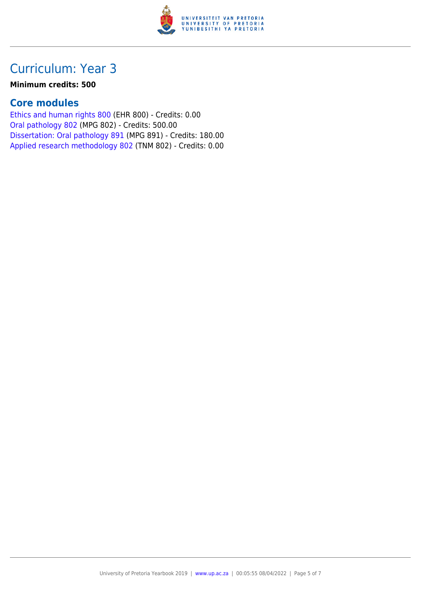

#### **Minimum credits: 500**

### **Core modules**

[Ethics and human rights 800](https://www.up.ac.za/faculty-of-education/yearbooks/2019/modules/view/EHR 800) (EHR 800) - Credits: 0.00 [Oral pathology 802](https://www.up.ac.za/faculty-of-education/yearbooks/2019/modules/view/MPG 802) (MPG 802) - Credits: 500.00 [Dissertation: Oral pathology 891](https://www.up.ac.za/faculty-of-education/yearbooks/2019/modules/view/MPG 891) (MPG 891) - Credits: 180.00 [Applied research methodology 802](https://www.up.ac.za/faculty-of-education/yearbooks/2019/modules/view/TNM 802) (TNM 802) - Credits: 0.00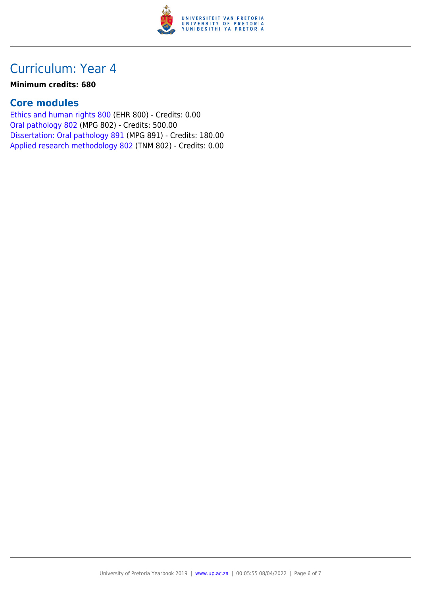

#### **Minimum credits: 680**

#### **Core modules**

[Ethics and human rights 800](https://www.up.ac.za/faculty-of-education/yearbooks/2019/modules/view/EHR 800) (EHR 800) - Credits: 0.00 [Oral pathology 802](https://www.up.ac.za/faculty-of-education/yearbooks/2019/modules/view/MPG 802) (MPG 802) - Credits: 500.00 [Dissertation: Oral pathology 891](https://www.up.ac.za/faculty-of-education/yearbooks/2019/modules/view/MPG 891) (MPG 891) - Credits: 180.00 [Applied research methodology 802](https://www.up.ac.za/faculty-of-education/yearbooks/2019/modules/view/TNM 802) (TNM 802) - Credits: 0.00